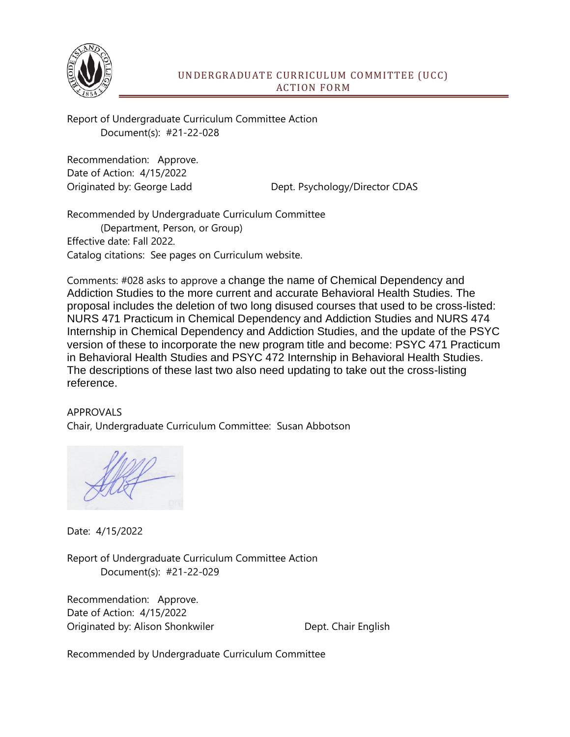

Report of Undergraduate Curriculum Committee Action Document(s): #21-22-028

Recommendation: Approve. Date of Action: 4/15/2022

Originated by: George Ladd Dept. Psychology/Director CDAS

Recommended by Undergraduate Curriculum Committee (Department, Person, or Group) Effective date: Fall 2022. Catalog citations: See pages on Curriculum website.

Comments: #028 asks to approve a change the name of Chemical Dependency and Addiction Studies to the more current and accurate Behavioral Health Studies. The proposal includes the deletion of two long disused courses that used to be cross-listed: NURS 471 Practicum in Chemical Dependency and Addiction Studies and NURS 474 Internship in Chemical Dependency and Addiction Studies, and the update of the PSYC version of these to incorporate the new program title and become: PSYC 471 Practicum in Behavioral Health Studies and PSYC 472 Internship in Behavioral Health Studies. The descriptions of these last two also need updating to take out the cross-listing reference.

## APPROVALS

Chair, Undergraduate Curriculum Committee: Susan Abbotson

Date: 4/15/2022

Report of Undergraduate Curriculum Committee Action Document(s): #21-22-029

Recommendation: Approve. Date of Action: 4/15/2022 Originated by: Alison Shonkwiler **Dept.** Chair English

Recommended by Undergraduate Curriculum Committee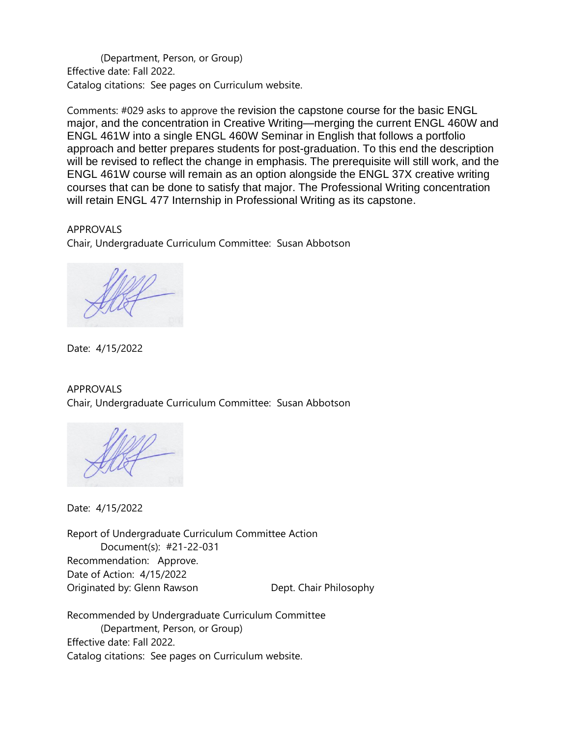(Department, Person, or Group) Effective date: Fall 2022. Catalog citations: See pages on Curriculum website.

Comments: #029 asks to approve the revision the capstone course for the basic ENGL major, and the concentration in Creative Writing—merging the current ENGL 460W and ENGL 461W into a single ENGL 460W Seminar in English that follows a portfolio approach and better prepares students for post-graduation. To this end the description will be revised to reflect the change in emphasis. The prerequisite will still work, and the ENGL 461W course will remain as an option alongside the ENGL 37X creative writing courses that can be done to satisfy that major. The Professional Writing concentration will retain ENGL 477 Internship in Professional Writing as its capstone.

APPROVALS Chair, Undergraduate Curriculum Committee: Susan Abbotson

Date: 4/15/2022

APPROVALS Chair, Undergraduate Curriculum Committee: Susan Abbotson

Date: 4/15/2022

Report of Undergraduate Curriculum Committee Action Document(s): #21-22-031 Recommendation: Approve. Date of Action: 4/15/2022 Originated by: Glenn Rawson **Dept. Chair Philosophy** 

Recommended by Undergraduate Curriculum Committee (Department, Person, or Group) Effective date: Fall 2022. Catalog citations: See pages on Curriculum website.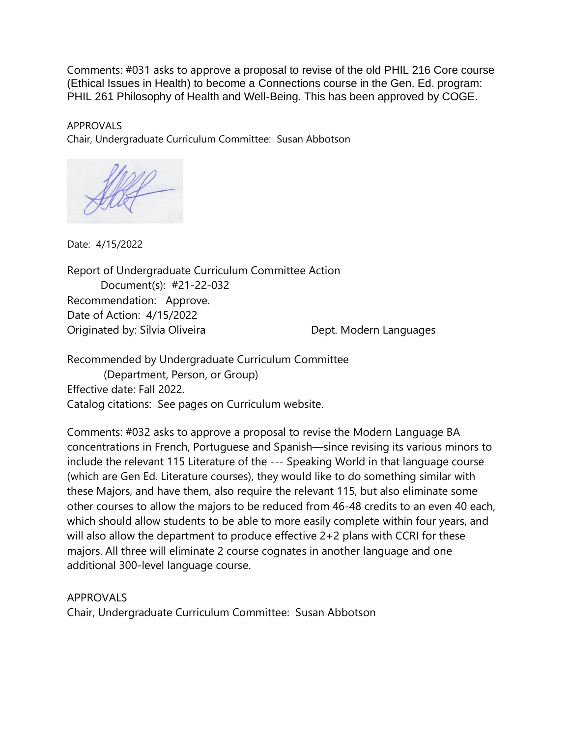Comments: #031 asks to approve a proposal to revise of the old PHIL 216 Core course (Ethical Issues in Health) to become a Connections course in the Gen. Ed. program: PHIL 261 Philosophy of Health and Well-Being. This has been approved by COGE.

APPROVALS Chair, Undergraduate Curriculum Committee: Susan Abbotson

Date: 4/15/2022

Report of Undergraduate Curriculum Committee Action Document(s): #21-22-032 Recommendation: Approve. Date of Action: 4/15/2022 Originated by: Sílvia Oliveira **Dept. Modern Languages** 

Recommended by Undergraduate Curriculum Committee (Department, Person, or Group) Effective date: Fall 2022. Catalog citations: See pages on Curriculum website.

Comments: #032 asks to approve a proposal to revise the Modern Language BA concentrations in French, Portuguese and Spanish—since revising its various minors to include the relevant 115 Literature of the --- Speaking World in that language course (which are Gen Ed. Literature courses), they would like to do something similar with these Majors, and have them, also require the relevant 115, but also eliminate some other courses to allow the majors to be reduced from 46-48 credits to an even 40 each, which should allow students to be able to more easily complete within four years, and will also allow the department to produce effective 2+2 plans with CCRI for these majors. All three will eliminate 2 course cognates in another language and one additional 300-level language course.

APPROVALS

Chair, Undergraduate Curriculum Committee: Susan Abbotson